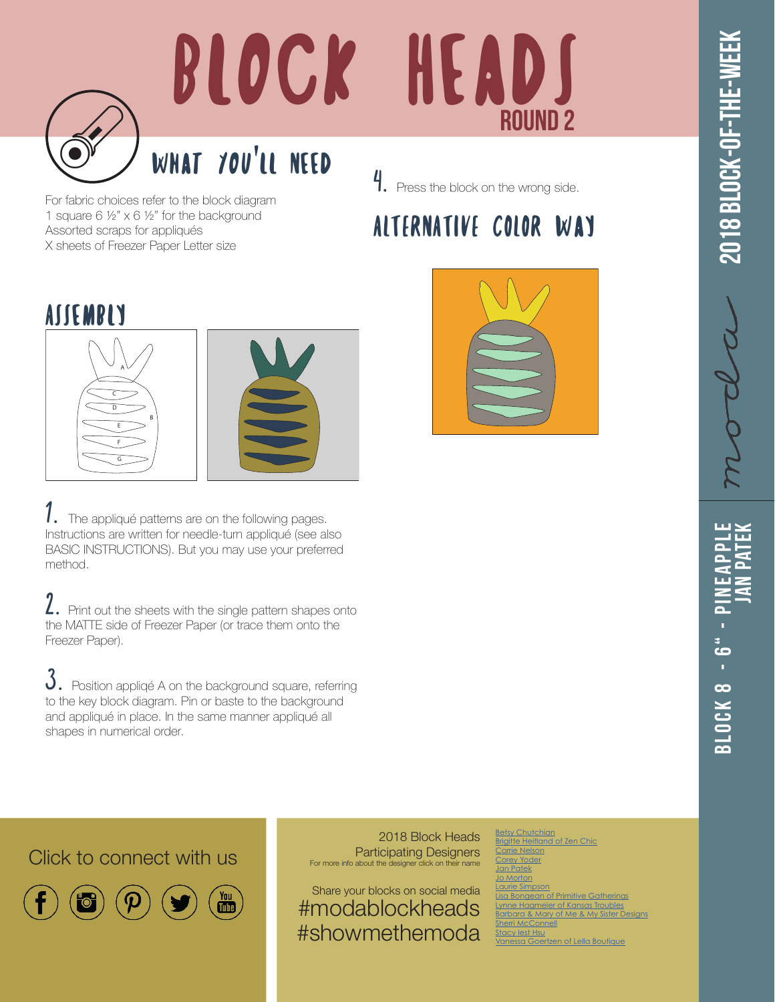

# BLOCK HEADS ROUND 2

### What You'll Need

4. Press the block on the wrong side.

#### ALTERNATIVE COLOR Way

For fabric choices refer to the block diagram 1 square 6 ½" x 6 ½" for the background Assorted scraps for appliqués X sheets of Freezer Paper Letter size

#### **ASSEMBLY**





The appliqué patterns are on the following pages. Instructions are written for needle-turn appliqué (see also BASIC INSTRUCTIONS). But you may use your preferred method.

2. Print out the sheets with the single pattern shapes onto the MATTE side of Freezer Paper (or trace them onto the Freezer Paper).

 $3.$  Position appliqé A on the background square, referring to the key block diagram. Pin or baste to the background and appliqué in place. In the same manner appliqué all shapes in numerical order.

## Block 8 - 6" - Pineapple **Jan Patek** ۔<br>م 3 L O C K 8

Click to connect with us



 $\begin{bmatrix} \gamma_{01} \\ \overline{\mathbf{u}} \overline{\mathbf{u}} \end{bmatrix}$ 

2018 Block Heads Participating Designers For more info about the designer click on their name

Share your blocks on social media #modablockheads #showmethemoda

[Betsy Chutchian](http://betsysbestquiltsandmore.blogspot.de) rigitte Heitland [Carrie Nelson](http://blog.modafabrics.com/) Yoder an Patek o Morton rie Simpson **Diagonal Bongers** Bongean<br> **Diagonal Bongers** [Lynne Hagmeier of Kansas Troubles](http://kansastroublesquilters-lynne.blogspot.de) <mark>arbara & Mary of</mark> [Sherri McConnell](http://www.aquiltinglife.com) by lest Hsu [Vanessa Goertzen of Lella Boutique](https://www.instagram.com/lellaboutique/)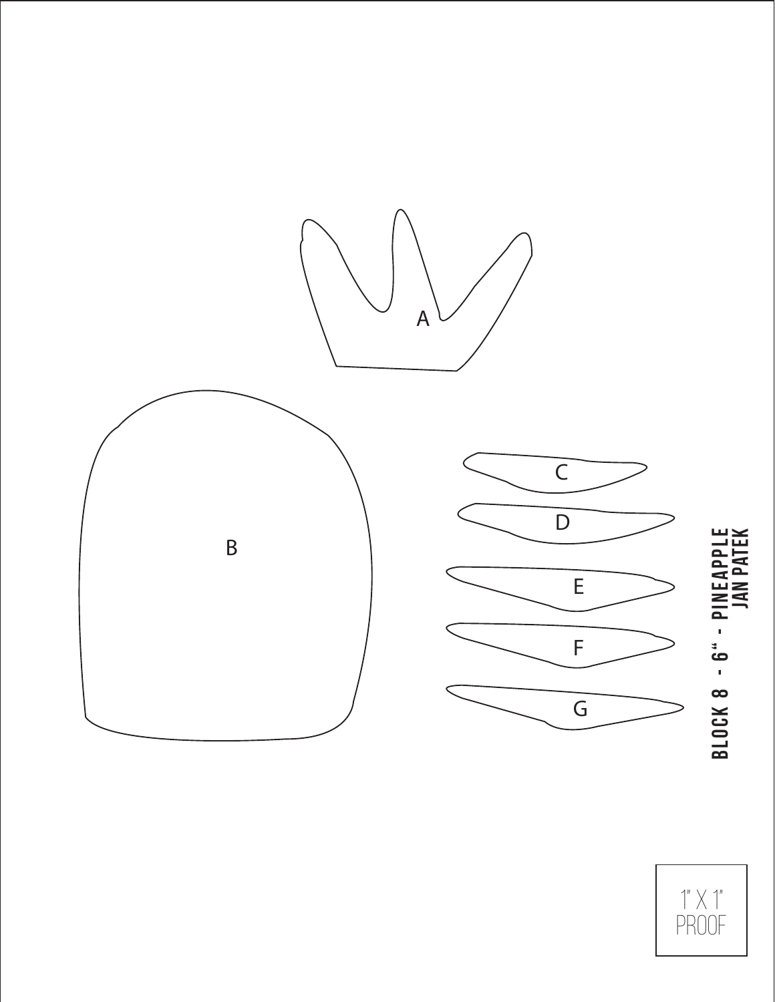